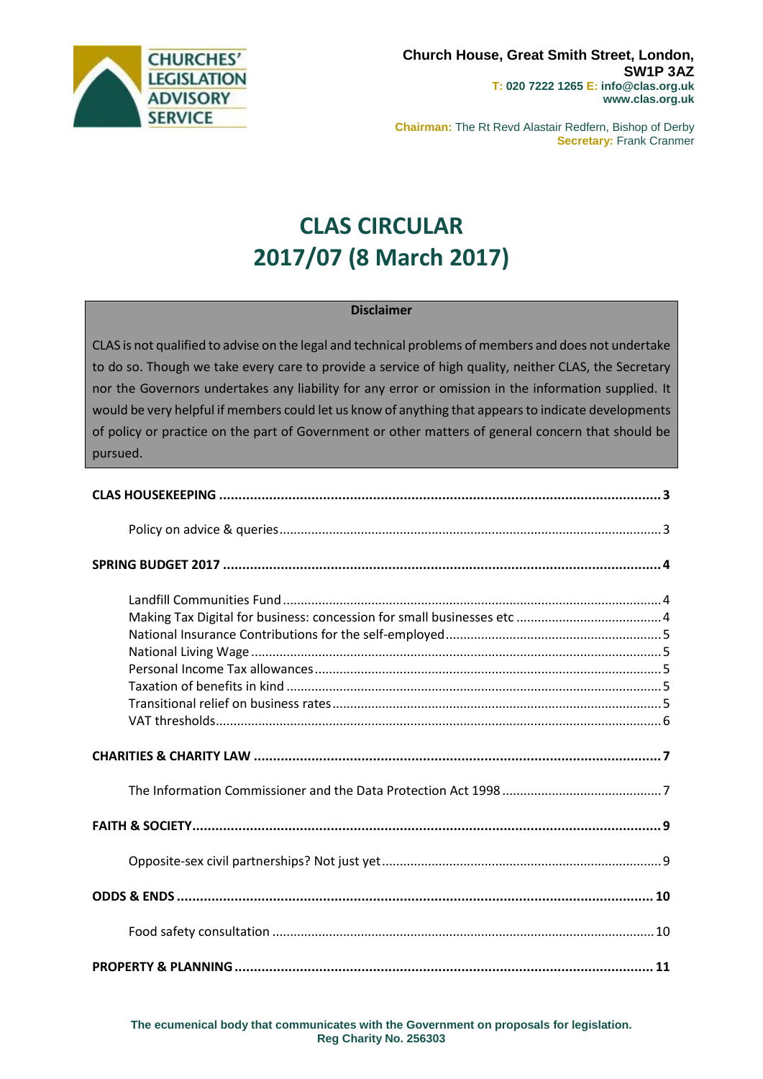

**Chairman:** The Rt Revd Alastair Redfern, Bishop of Derby **Secretary:** Frank Cranmer

# **CLAS CIRCULAR 2017/07 (8 March 2017)**

#### **Disclaimer**

CLAS is not qualified to advise on the legal and technical problems of members and does not undertake to do so. Though we take every care to provide a service of high quality, neither CLAS, the Secretary nor the Governors undertakes any liability for any error or omission in the information supplied. It would be very helpful if members could let us know of anything that appears to indicate developments of policy or practice on the part of Government or other matters of general concern that should be pursued.

**The ecumenical body that communicates with the Government on proposals for legislation. Reg Charity No. 256303**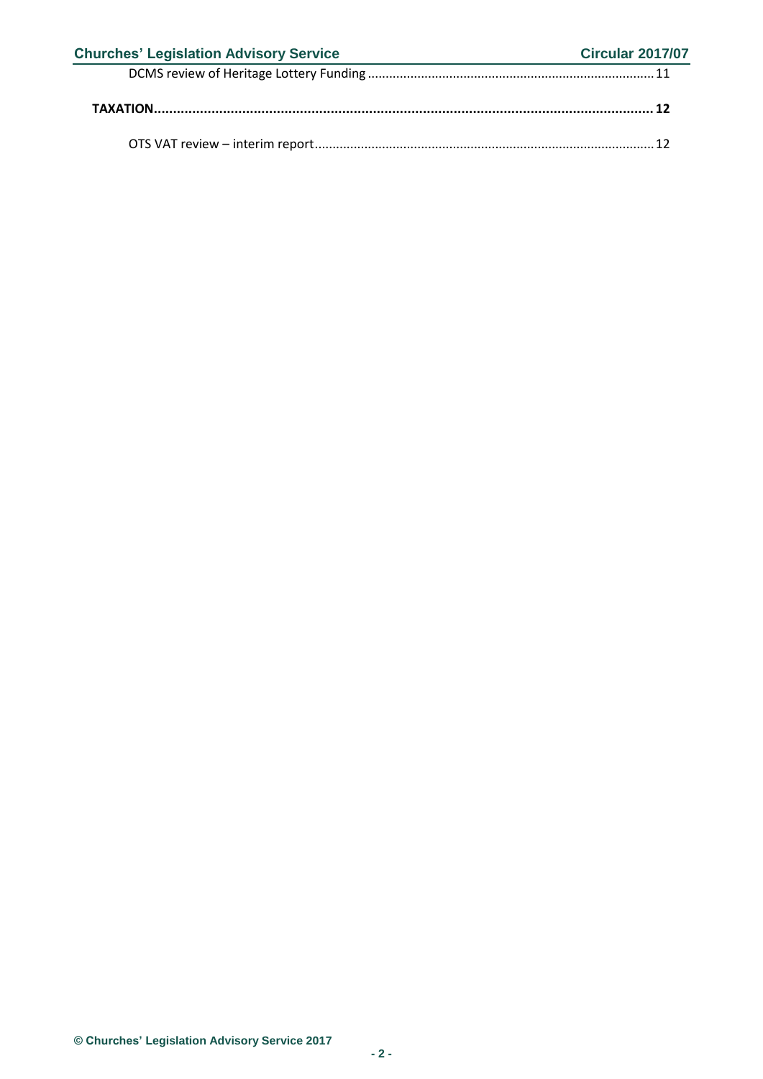| <b>Churches' Legislation Advisory Service</b> | <b>Circular 2017/07</b> |
|-----------------------------------------------|-------------------------|
|                                               |                         |
|                                               |                         |
|                                               |                         |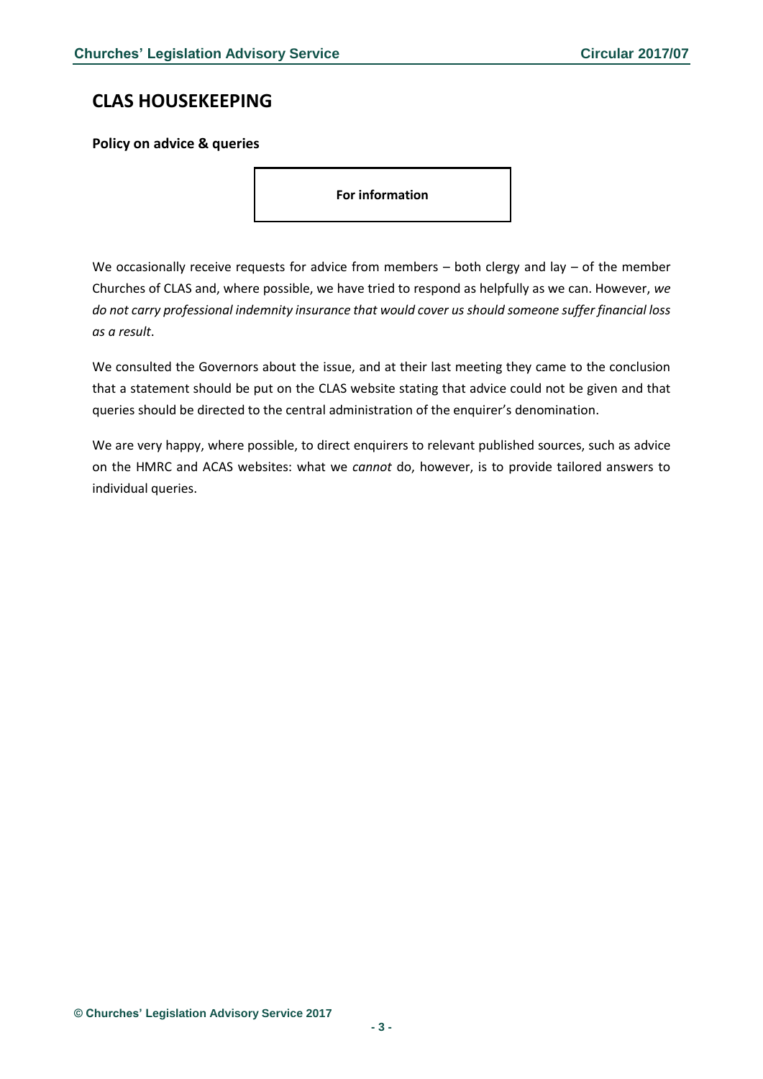## <span id="page-2-0"></span>**CLAS HOUSEKEEPING**

### <span id="page-2-1"></span>**Policy on advice & queries**

**For information**

We occasionally receive requests for advice from members  $-$  both clergy and lay  $-$  of the member Churches of CLAS and, where possible, we have tried to respond as helpfully as we can. However, *we do not carry professional indemnity insurance that would cover us should someone suffer financial loss as a result*.

We consulted the Governors about the issue, and at their last meeting they came to the conclusion that a statement should be put on the CLAS website stating that advice could not be given and that queries should be directed to the central administration of the enquirer's denomination.

We are very happy, where possible, to direct enquirers to relevant published sources, such as advice on the HMRC and ACAS websites: what we *cannot* do, however, is to provide tailored answers to individual queries.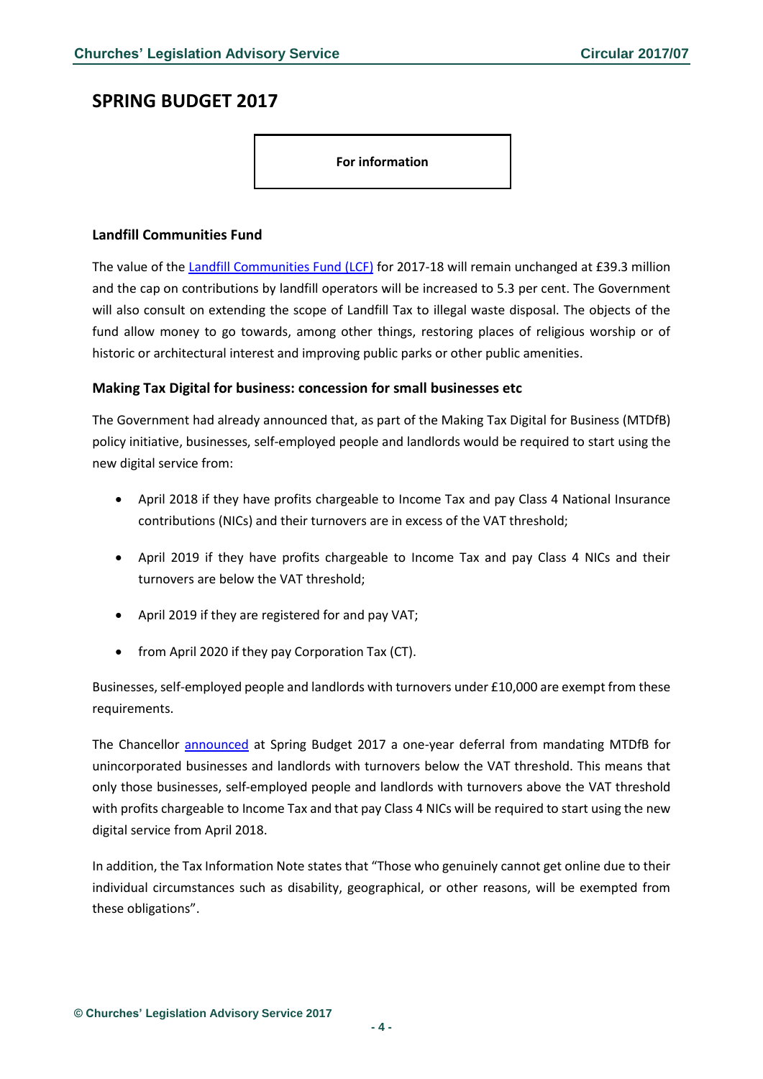### <span id="page-3-0"></span>**SPRING BUDGET 2017**

**For information**

#### <span id="page-3-1"></span>**Landfill Communities Fund**

The value of the [Landfill Communities Fund \(LCF\)](http://www.entrust.org.uk/projects) for 2017-18 will remain unchanged at £39.3 million and the cap on contributions by landfill operators will be increased to 5.3 per cent. The Government will also consult on extending the scope of Landfill Tax to illegal waste disposal. The objects of the fund allow money to go towards, among other things, restoring places of religious worship or of historic or architectural interest and improving public parks or other public amenities.

#### <span id="page-3-2"></span>**Making Tax Digital for business: concession for small businesses etc**

The Government had already announced that, as part of the Making Tax Digital for Business (MTDfB) policy initiative, businesses, self-employed people and landlords would be required to start using the new digital service from:

- April 2018 if they have profits chargeable to Income Tax and pay Class 4 National Insurance contributions (NICs) and their turnovers are in excess of the VAT threshold;
- April 2019 if they have profits chargeable to Income Tax and pay Class 4 NICs and their turnovers are below the VAT threshold;
- April 2019 if they are registered for and pay VAT;
- from April 2020 if they pay Corporation Tax (CT).

Businesses, self-employed people and landlords with turnovers under £10,000 are exempt from these requirements.

The Chancellor [announced](https://www.gov.uk/government/publications/making-tax-digital-for-business/making-tax-digital-for-business) at Spring Budget 2017 a one-year deferral from mandating MTDfB for unincorporated businesses and landlords with turnovers below the VAT threshold. This means that only those businesses, self-employed people and landlords with turnovers above the VAT threshold with profits chargeable to Income Tax and that pay Class 4 NICs will be required to start using the new digital service from April 2018.

In addition, the Tax Information Note states that "Those who genuinely cannot get online due to their individual circumstances such as disability, geographical, or other reasons, will be exempted from these obligations".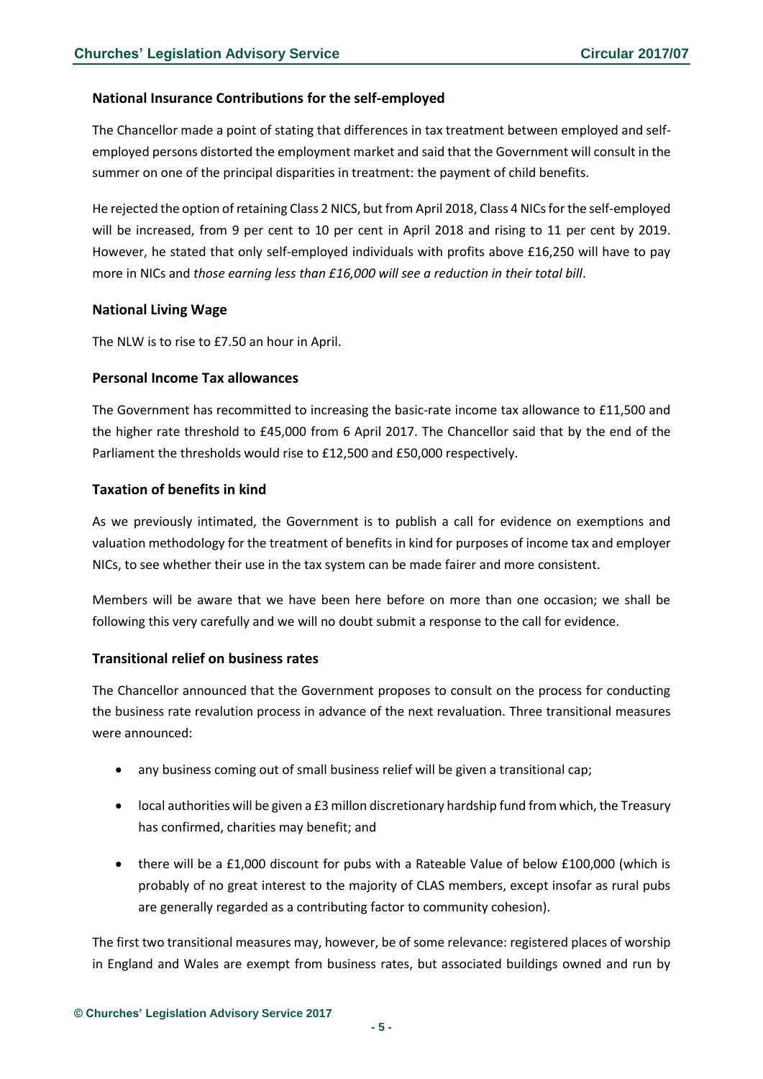#### <span id="page-4-0"></span>**National Insurance Contributions for the self-employed**

The Chancellor made a point of stating that differences in tax treatment between employed and selfemployed persons distorted the employment market and said that the Government will consult in the summer on one of the principal disparities in treatment: the payment of child benefits.

He rejected the option of retaining Class 2 NICS, but from April 2018, Class 4 NICs for the self-employed will be increased, from 9 per cent to 10 per cent in April 2018 and rising to 11 per cent by 2019. However, he stated that only self-employed individuals with profits above £16,250 will have to pay more in NICs and *those earning less than £16,000 will see a reduction in their total bill*.

#### <span id="page-4-1"></span>**National Living Wage**

The NLW is to rise to £7.50 an hour in April.

#### <span id="page-4-2"></span>**Personal Income Tax allowances**

The Government has recommitted to increasing the basic-rate income tax allowance to £11,500 and the higher rate threshold to £45,000 from 6 April 2017. The Chancellor said that by the end of the Parliament the thresholds would rise to £12,500 and £50,000 respectively.

#### <span id="page-4-3"></span>**Taxation of benefits in kind**

As we previously intimated, the Government is to publish a call for evidence on exemptions and valuation methodology for the treatment of benefits in kind for purposes of income tax and employer NICs, to see whether their use in the tax system can be made fairer and more consistent.

Members will be aware that we have been here before on more than one occasion; we shall be following this very carefully and we will no doubt submit a response to the call for evidence.

#### <span id="page-4-4"></span>**Transitional relief on business rates**

The Chancellor announced that the Government proposes to consult on the process for conducting the business rate revalution process in advance of the next revaluation. Three transitional measures were announced:

- any business coming out of small business relief will be given a transitional cap;
- local authorities will be given a £3 millon discretionary hardship fund from which, the Treasury has confirmed, charities may benefit; and
- there will be a £1,000 discount for pubs with a Rateable Value of below £100,000 (which is probably of no great interest to the majority of CLAS members, except insofar as rural pubs are generally regarded as a contributing factor to community cohesion).

The first two transitional measures may, however, be of some relevance: registered places of worship in England and Wales are exempt from business rates, but associated buildings owned and run by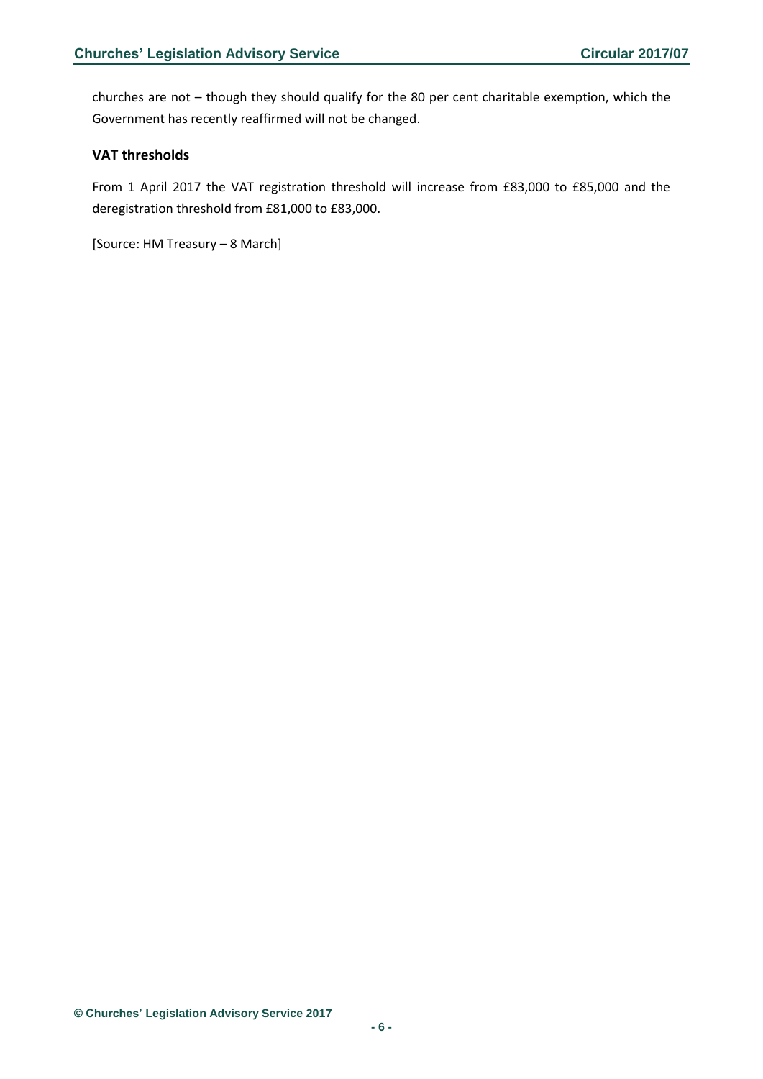churches are not – though they should qualify for the 80 per cent charitable exemption, which the Government has recently reaffirmed will not be changed.

#### <span id="page-5-0"></span>**VAT thresholds**

From 1 April 2017 the VAT registration threshold will increase from £83,000 to £85,000 and the deregistration threshold from £81,000 to £83,000.

[Source: HM Treasury – 8 March]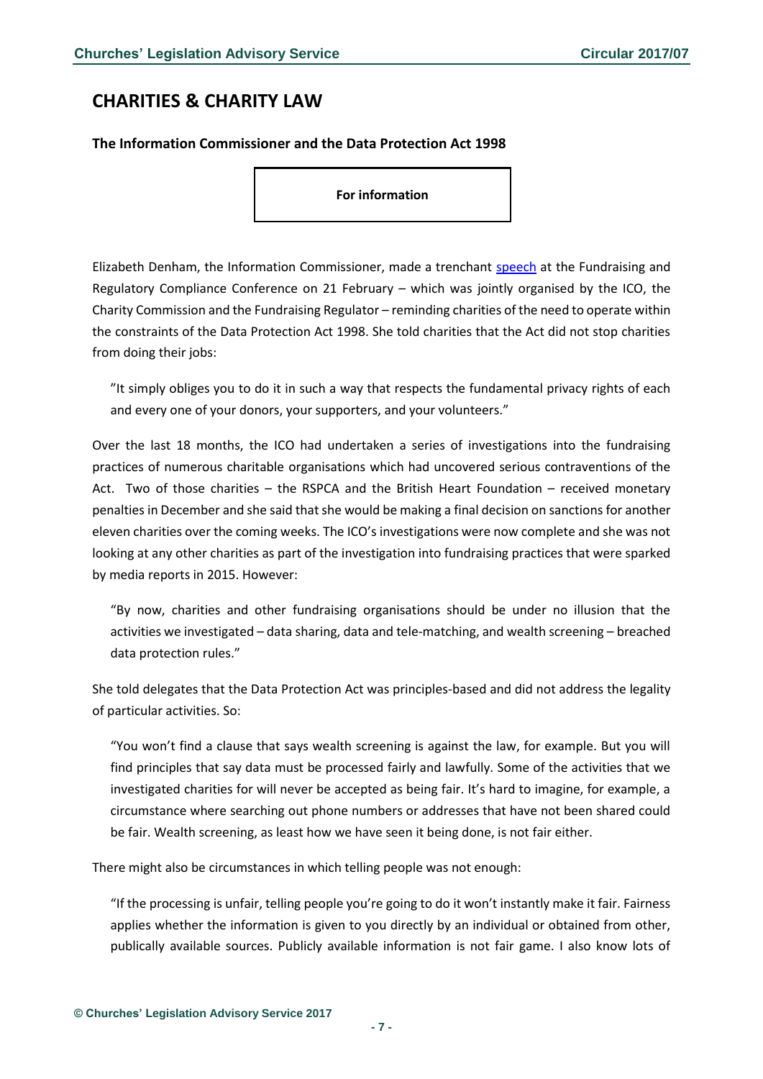## <span id="page-6-0"></span>**CHARITIES & CHARITY LAW**

#### <span id="page-6-1"></span>**The Information Commissioner and the Data Protection Act 1998**

**For information**

Elizabeth Denham, the Information Commissioner, made a trenchant [speech](https://ico.org.uk/about-the-ico/news-and-events/news-and-blogs/2017/02/fundraising-and-regulatory-compliance-conference/) at the Fundraising and Regulatory Compliance Conference on 21 February – which was jointly organised by the ICO, the Charity Commission and the Fundraising Regulator – reminding charities of the need to operate within the constraints of the Data Protection Act 1998. She told charities that the Act did not stop charities from doing their jobs:

"It simply obliges you to do it in such a way that respects the fundamental privacy rights of each and every one of your donors, your supporters, and your volunteers."

Over the last 18 months, the ICO had undertaken a series of investigations into the fundraising practices of numerous charitable organisations which had uncovered serious contraventions of the Act. Two of those charities – the RSPCA and the British Heart Foundation – received monetary penalties in December and she said that she would be making a final decision on sanctions for another eleven charities over the coming weeks. The ICO's investigations were now complete and she was not looking at any other charities as part of the investigation into fundraising practices that were sparked by media reports in 2015. However:

"By now, charities and other fundraising organisations should be under no illusion that the activities we investigated – data sharing, data and tele-matching, and wealth screening – breached data protection rules."

She told delegates that the Data Protection Act was principles-based and did not address the legality of particular activities. So:

"You won't find a clause that says wealth screening is against the law, for example. But you will find principles that say data must be processed fairly and lawfully. Some of the activities that we investigated charities for will never be accepted as being fair. It's hard to imagine, for example, a circumstance where searching out phone numbers or addresses that have not been shared could be fair. Wealth screening, as least how we have seen it being done, is not fair either.

There might also be circumstances in which telling people was not enough:

"If the processing is unfair, telling people you're going to do it won't instantly make it fair. Fairness applies whether the information is given to you directly by an individual or obtained from other, publically available sources. Publicly available information is not fair game. I also know lots of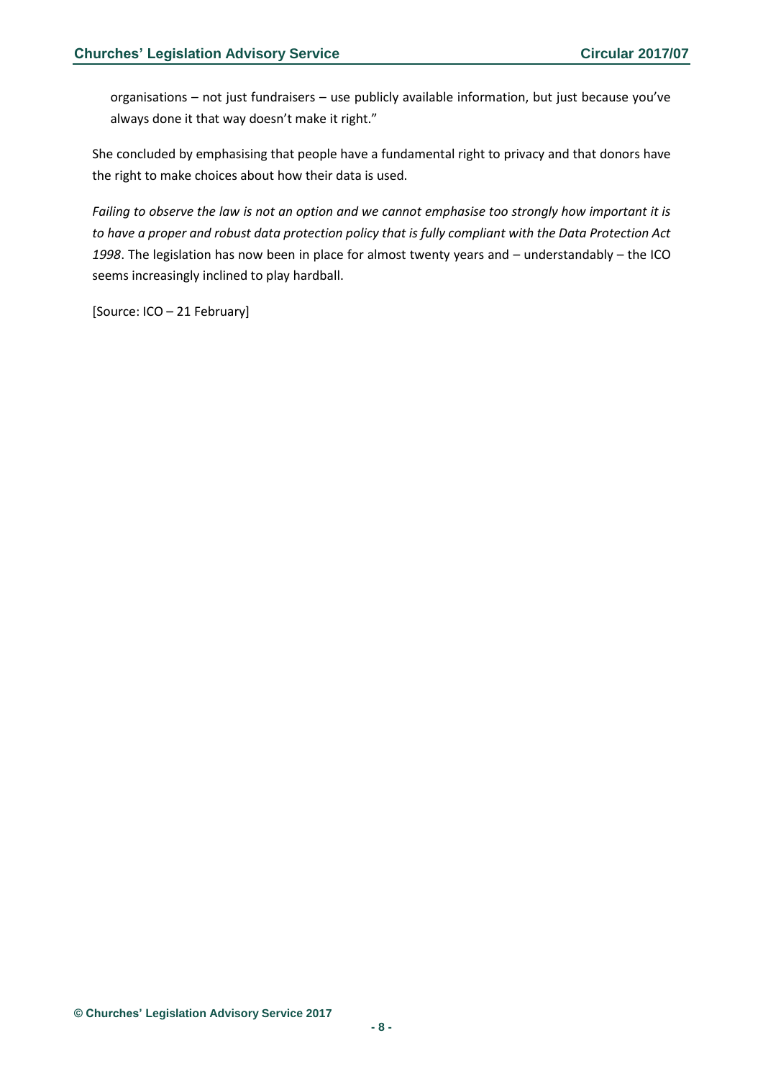organisations – not just fundraisers – use publicly available information, but just because you've always done it that way doesn't make it right."

She concluded by emphasising that people have a fundamental right to privacy and that donors have the right to make choices about how their data is used.

*Failing to observe the law is not an option and we cannot emphasise too strongly how important it is to have a proper and robust data protection policy that is fully compliant with the Data Protection Act 1998*. The legislation has now been in place for almost twenty years and – understandably – the ICO seems increasingly inclined to play hardball.

[Source: ICO – 21 February]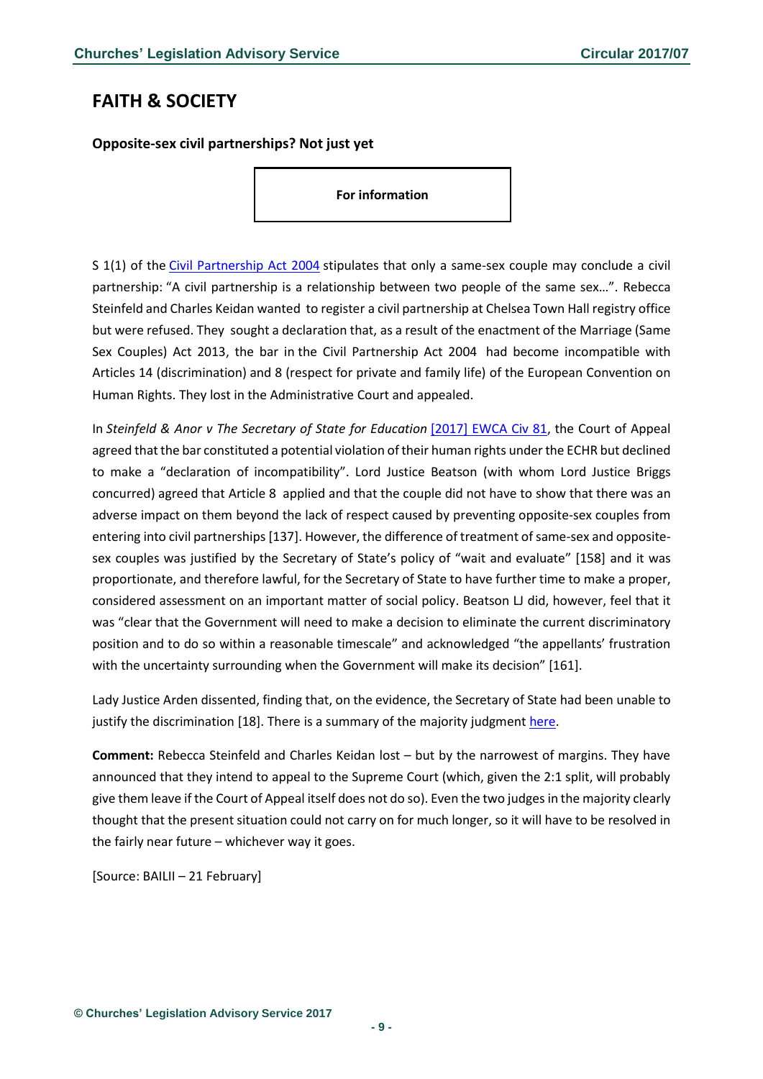## <span id="page-8-0"></span>**FAITH & SOCIETY**

<span id="page-8-1"></span>**Opposite-sex civil partnerships? Not just yet**

**For information**

S 1(1) of the [Civil Partnership Act 2004](http://www.legislation.gov.uk/ukpga/2004/33/contents) stipulates that only a same-sex couple may conclude a civil partnership: "A civil partnership is a relationship between two people of the same sex…". Rebecca Steinfeld and Charles Keidan wanted to register a civil partnership at Chelsea Town Hall registry office but were refused. They sought a declaration that, as a result of the enactment of the Marriage (Same Sex Couples) Act 2013, the bar in the Civil Partnership Act 2004 had become incompatible with Articles 14 (discrimination) and 8 (respect for private and family life) of the European Convention on Human Rights. They lost in the Administrative Court and appealed.

In *Steinfeld & Anor v The Secretary of State for Education* [\[2017\] EWCA Civ 81,](http://www.bailii.org/ew/cases/EWCA/Civ/2017/81.html) the Court of Appeal agreed that the bar constituted a potential violation of their human rights under the ECHR but declined to make a "declaration of incompatibility". Lord Justice Beatson (with whom Lord Justice Briggs concurred) agreed that Article 8 applied and that the couple did not have to show that there was an adverse impact on them beyond the lack of respect caused by preventing opposite-sex couples from entering into civil partnerships [137]. However, the difference of treatment of same-sex and oppositesex couples was justified by the Secretary of State's policy of "wait and evaluate" [158] and it was proportionate, and therefore lawful, for the Secretary of State to have further time to make a proper, considered assessment on an important matter of social policy. Beatson LJ did, however, feel that it was "clear that the Government will need to make a decision to eliminate the current discriminatory position and to do so within a reasonable timescale" and acknowledged "the appellants' frustration with the uncertainty surrounding when the Government will make its decision" [161].

Lady Justice Arden dissented, finding that, on the evidence, the Secretary of State had been unable to justify the discrimination [18]. There is a summary of the majority judgment [here.](https://www.judiciary.gov.uk/wp-content/uploads/2017/02/steinfeld-and-keidan-v-sse-summary-20170221.pdf)

**Comment:** Rebecca Steinfeld and Charles Keidan lost – but by the narrowest of margins. They have announced that they intend to appeal to the Supreme Court (which, given the 2:1 split, will probably give them leave if the Court of Appeal itself does not do so). Even the two judges in the majority clearly thought that the present situation could not carry on for much longer, so it will have to be resolved in the fairly near future – whichever way it goes.

[Source: BAILII – 21 February]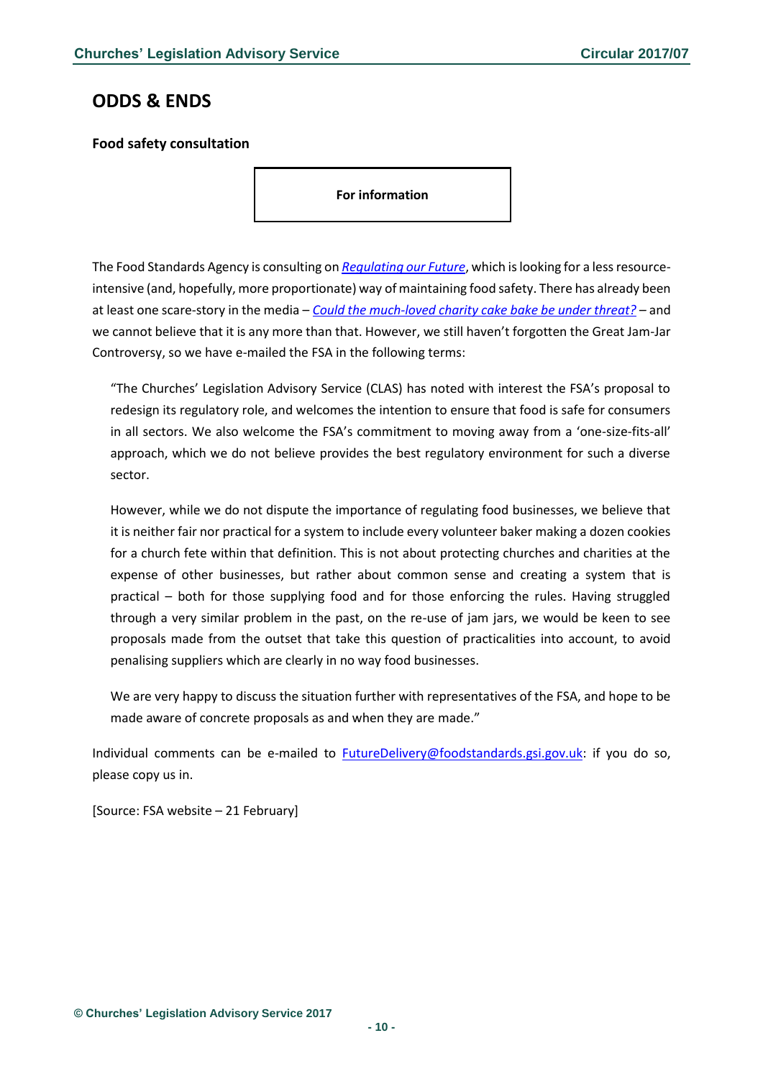## <span id="page-9-0"></span>**ODDS & ENDS**

### <span id="page-9-1"></span>**Food safety consultation**

**For information**

The Food Standards Agency is consulting on *[Regulating our Future](https://www.food.gov.uk/enforcement/regulation/regulating-our-future)*, which is looking for a less resourceintensive (and, hopefully, more proportionate) way of maintaining food safety. There has already been at least one scare-story in the media – *[Could the much-loved charity cake bake be under threat?](http://www.lep.co.uk/your-lancashire/wyre-and-garstang/garstang/could-the-much-loved-charity-cake-bake-be-under-threat-1-8396791) –* and we cannot believe that it is any more than that. However, we still haven't forgotten the Great Jam-Jar Controversy, so we have e-mailed the FSA in the following terms:

"The Churches' Legislation Advisory Service (CLAS) has noted with interest the FSA's proposal to redesign its regulatory role, and welcomes the intention to ensure that food is safe for consumers in all sectors. We also welcome the FSA's commitment to moving away from a 'one-size-fits-all' approach, which we do not believe provides the best regulatory environment for such a diverse sector.

However, while we do not dispute the importance of regulating food businesses, we believe that it is neither fair nor practical for a system to include every volunteer baker making a dozen cookies for a church fete within that definition. This is not about protecting churches and charities at the expense of other businesses, but rather about common sense and creating a system that is practical – both for those supplying food and for those enforcing the rules. Having struggled through a very similar problem in the past, on the re-use of jam jars, we would be keen to see proposals made from the outset that take this question of practicalities into account, to avoid penalising suppliers which are clearly in no way food businesses.

We are very happy to discuss the situation further with representatives of the FSA, and hope to be made aware of concrete proposals as and when they are made."

Individual comments can be e-mailed to [FutureDelivery@foodstandards.gsi.gov.uk:](mailto:FutureDelivery@foodstandards.gsi.gov.uk) if you do so, please copy us in.

[Source: FSA website – 21 February]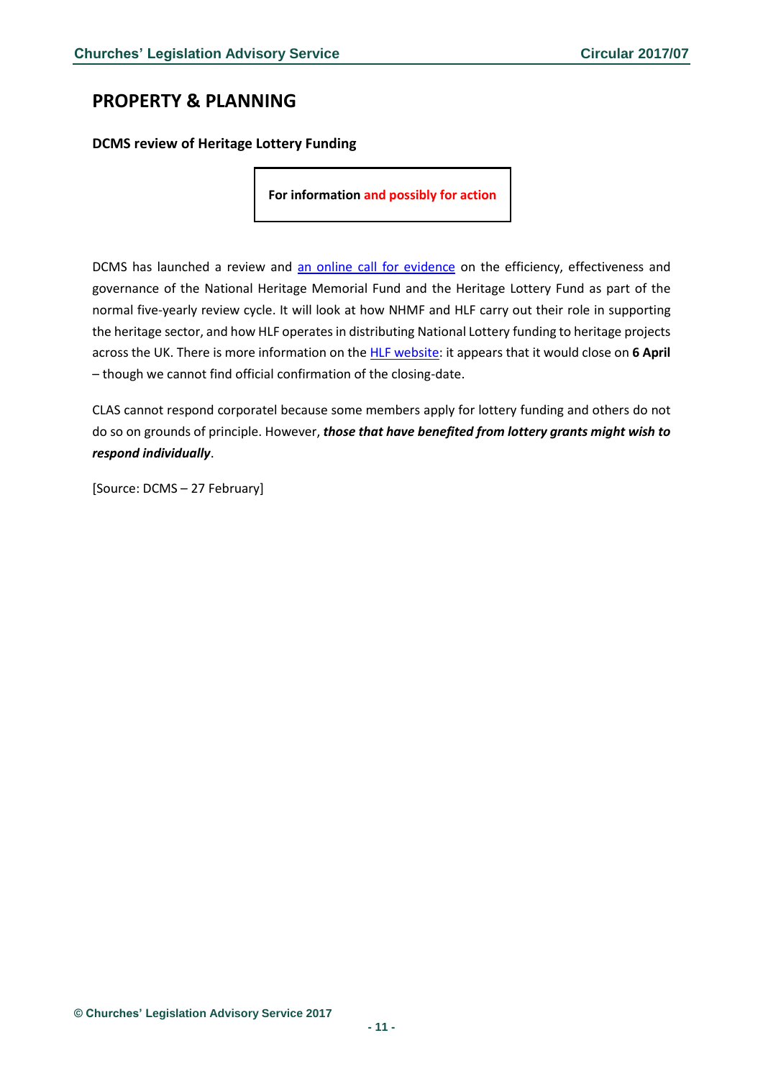## <span id="page-10-0"></span>**PROPERTY & PLANNING**

<span id="page-10-1"></span>**DCMS review of Heritage Lottery Funding**

**For information and possibly for action**

DCMS has launched a review and [an online call for evidence](https://dcms.eu.qualtrics.com/jfe3/form/SV_2isRhaoX4ZsZNgF) on the efficiency, effectiveness and governance of the National Heritage Memorial Fund and the Heritage Lottery Fund as part of the normal five-yearly review cycle. It will look at how NHMF and HLF carry out their role in supporting the heritage sector, and how HLF operates in distributing National Lottery funding to heritage projects across the UK. There is more information on th[e HLF website:](https://www.hlf.org.uk/about-us/news-features/review-nhmf-and-hlf-launched) it appears that it would close on **6 April** – though we cannot find official confirmation of the closing-date.

CLAS cannot respond corporatel because some members apply for lottery funding and others do not do so on grounds of principle. However, *those that have benefited from lottery grants might wish to respond individually*.

[Source: DCMS – 27 February]